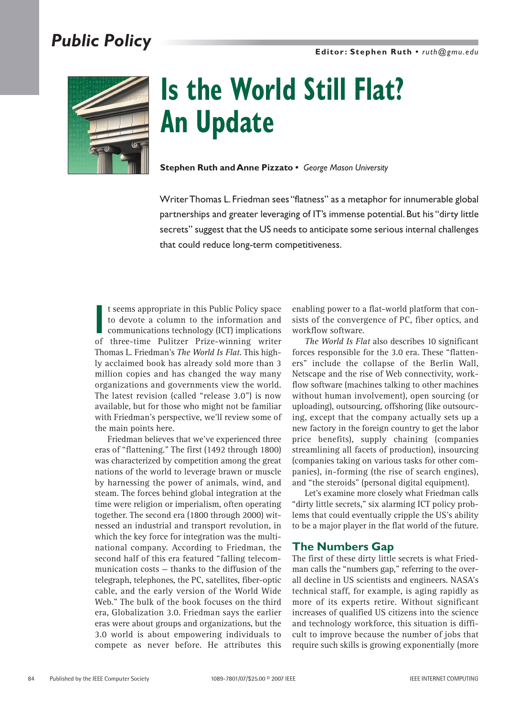**Editor: Stephen Ruth •** *ruth@gmu.edu*

### *Public Policy*



# **Is the World Still Flat? An Update**

**Stephen Ruth and Anne Pizzato •** *George Mason University*

Writer Thomas L.Friedman sees "flatness" as a metaphor for innumerable global partnerships and greater leveraging of IT's immense potential. But his "dirty little secrets" suggest that the US needs to anticipate some serious internal challenges that could reduce long-term competitiveness.

In the Fubility of three-time Pulitzer Prize-winning writer<br>of three-time Pulitzer Prize-winning writer t seems appropriate in this Public Policy space to devote a column to the information and communications technology (ICT) implications Thomas L. Friedman's *The World Is Flat*. This highly acclaimed book has already sold more than 3 million copies and has changed the way many organizations and governments view the world. The latest revision (called "release 3.0") is now available, but for those who might not be familiar with Friedman's perspective, we'll review some of the main points here.

Friedman believes that we've experienced three eras of "flattening." The first (1492 through 1800) was characterized by competition among the great nations of the world to leverage brawn or muscle by harnessing the power of animals, wind, and steam. The forces behind global integration at the time were religion or imperialism, often operating together. The second era (1800 through 2000) witnessed an industrial and transport revolution, in which the key force for integration was the multinational company. According to Friedman, the second half of this era featured "falling telecommunication costs — thanks to the diffusion of the telegraph, telephones, the PC, satellites, fiber-optic cable, and the early version of the World Wide Web." The bulk of the book focuses on the third era, Globalization 3.0. Friedman says the earlier eras were about groups and organizations, but the 3.0 world is about empowering individuals to compete as never before. He attributes this

enabling power to a flat-world platform that consists of the convergence of PC, fiber optics, and workflow software.

*The World Is Flat* also describes 10 significant forces responsible for the 3.0 era. These "flatteners" include the collapse of the Berlin Wall, Netscape and the rise of Web connectivity, workflow software (machines talking to other machines without human involvement), open sourcing (or uploading), outsourcing, offshoring (like outsourcing, except that the company actually sets up a new factory in the foreign country to get the labor price benefits), supply chaining (companies streamlining all facets of production), insourcing (companies taking on various tasks for other companies), in-forming (the rise of search engines), and "the steroids" (personal digital equipment).

Let's examine more closely what Friedman calls "dirty little secrets," six alarming ICT policy problems that could eventually cripple the US's ability to be a major player in the flat world of the future.

#### **The Numbers Gap**

The first of these dirty little secrets is what Friedman calls the "numbers gap," referring to the overall decline in US scientists and engineers. NASA's technical staff, for example, is aging rapidly as more of its experts retire. Without significant increases of qualified US citizens into the science and technology workforce, this situation is difficult to improve because the number of jobs that require such skills is growing exponentially (more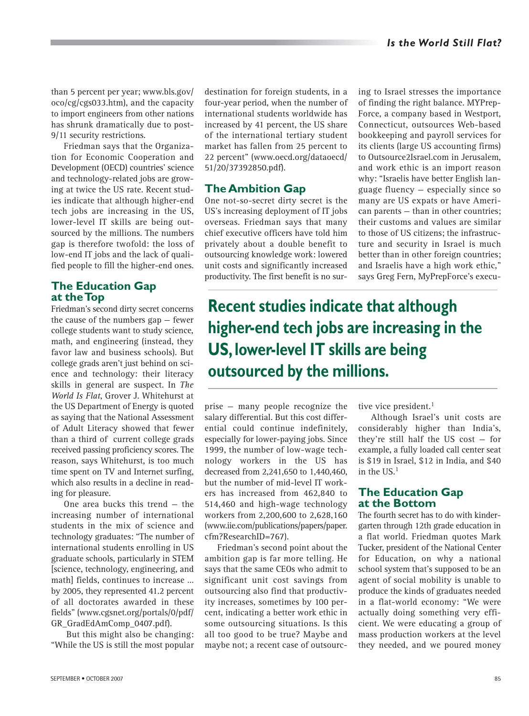than 5 percent per year; www.bls.gov/ oco/cg/cgs033.htm), and the capacity to import engineers from other nations has shrunk dramatically due to post-9/11 security restrictions.

Friedman says that the Organization for Economic Cooperation and Development (OECD) countries' science and technology-related jobs are growing at twice the US rate. Recent studies indicate that although higher-end tech jobs are increasing in the US, lower-level IT skills are being outsourced by the millions. The numbers gap is therefore twofold: the loss of low-end IT jobs and the lack of qualified people to fill the higher-end ones.

#### **The Education Gap at the Top**

Friedman's second dirty secret concerns the cause of the numbers gap — fewer college students want to study science, math, and engineering (instead, they favor law and business schools). But college grads aren't just behind on science and technology: their literacy skills in general are suspect. In *The World Is Flat*, Grover J. Whitehurst at the US Department of Energy is quoted as saying that the National Assessment of Adult Literacy showed that fewer than a third of current college grads received passing proficiency scores. The reason, says Whitehurst, is too much time spent on TV and Internet surfing, which also results in a decline in reading for pleasure.

One area bucks this trend — the increasing number of international students in the mix of science and technology graduates: "The number of international students enrolling in US graduate schools, particularly in STEM [science, technology, engineering, and math] fields, continues to increase … by 2005, they represented 41.2 percent of all doctorates awarded in these fields" (www.cgsnet.org/portals/0/pdf/ GR\_GradEdAmComp\_0407.pdf).

But this might also be changing: "While the US is still the most popular destination for foreign students, in a four-year period, when the number of international students worldwide has increased by 41 percent, the US share of the international tertiary student market has fallen from 25 percent to 22 percent" (www.oecd.org/dataoecd/ 51/20/37392850.pdf).

#### **The Ambition Gap**

One not-so-secret dirty secret is the US's increasing deployment of IT jobs overseas. Friedman says that many chief executive officers have told him privately about a double benefit to outsourcing knowledge work: lowered unit costs and significantly increased productivity. The first benefit is no suring to Israel stresses the importance of finding the right balance. MYPrep-Force, a company based in Westport, Connecticut, outsources Web-based bookkeeping and payroll services for its clients (large US accounting firms) to Outsource2Israel.com in Jerusalem, and work ethic is an import reason why: "Israelis have better English language fluency — especially since so many are US expats or have American parents — than in other countries; their customs and values are similar to those of US citizens; the infrastructure and security in Israel is much better than in other foreign countries; and Israelis have a high work ethic," says Greg Fern, MyPrepForce's execu-

**Recent studies indicate that although higher-end tech jobs are increasing in the US, lower-level IT skills are being outsourced by the millions.**

prise — many people recognize the salary differential. But this cost differential could continue indefinitely, especially for lower-paying jobs. Since 1999, the number of low-wage technology workers in the US has decreased from 2,241,650 to 1,440,460, but the number of mid-level IT workers has increased from 462,840 to 514,460 and high-wage technology workers from 2,200,600 to 2,628,160 (www.iie.com/publications/papers/paper. cfm?ResearchID=767).

Friedman's second point about the ambition gap is far more telling. He says that the same CEOs who admit to significant unit cost savings from outsourcing also find that productivity increases, sometimes by 100 percent, indicating a better work ethic in some outsourcing situations. Is this all too good to be true? Maybe and maybe not; a recent case of outsourctive vice president.<sup>1</sup>

Although Israel's unit costs are considerably higher than India's, they're still half the US cost — for example, a fully loaded call center seat is \$19 in Israel, \$12 in India, and \$40 in the  $US<sup>1</sup>$ 

#### **The Education Gap at the Bottom**

The fourth secret has to do with kindergarten through 12th grade education in a flat world. Friedman quotes Mark Tucker, president of the National Center for Education, on why a national school system that's supposed to be an agent of social mobility is unable to produce the kinds of graduates needed in a flat-world economy: "We were actually doing something very efficient. We were educating a group of mass production workers at the level they needed, and we poured money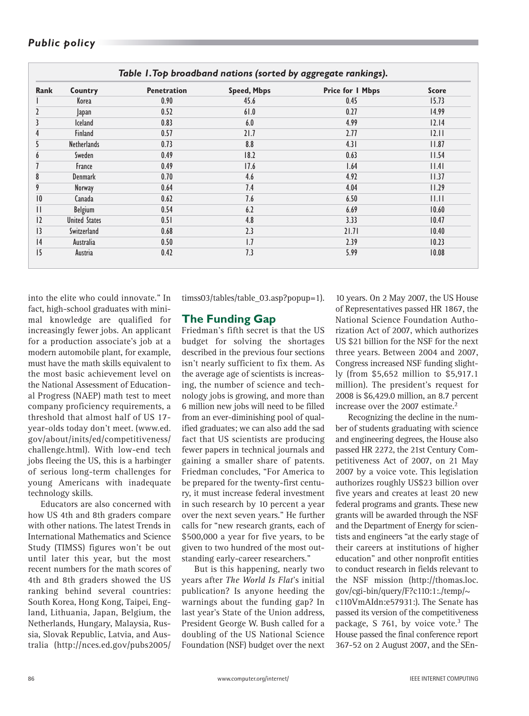## *Public policy*

| Rank           | Country              | <b>Penetration</b> | <b>Speed, Mbps</b> | <b>Price for I Mbps</b> | <b>Score</b> |
|----------------|----------------------|--------------------|--------------------|-------------------------|--------------|
|                | Korea                | 0.90               | 45.6               | 0.45                    | 15.73        |
| $\overline{2}$ | Japan                | 0.52               | 61.0               | 0.27                    | 14.99        |
| 3              | <b>Iceland</b>       | 0.83               | 6.0                | 4.99                    | 12.14        |
| 4              | <b>Finland</b>       | 0.57               | 21.7               | 2.77                    | 12.11        |
| 5              | <b>Netherlands</b>   | 0.73               | 8.8                | 4.31                    | 11.87        |
| 6              | Sweden               | 0.49               | 18.2               | 0.63                    | 11.54        |
| 7              | France               | 0.49               | 17.6               | 1.64                    | 1.4          |
| 8              | <b>Denmark</b>       | 0.70               | 4.6                | 4.92                    | 11.37        |
| 9              | Norway               | 0.64               | 7.4                | 4.04                    | 11.29        |
| 10             | Canada               | 0.62               | 7.6                | 6.50                    | .            |
| $\mathbf{H}$   | <b>Belgium</b>       | 0.54               | 6.2                | 6.69                    | 10.60        |
| 12             | <b>United States</b> | 0.51               | 4.8                | 3.33                    | 10.47        |
| 3              | Switzerland          | 0.68               | 2.3                | 21.71                   | 10.40        |
| 4              | Australia            | 0.50               | 1.7                | 2.39                    | 10.23        |
| 15             | Austria              | 0.42               | 7.3                | 5.99                    | 10.08        |

into the elite who could innovate." In fact, high-school graduates with minimal knowledge are qualified for increasingly fewer jobs. An applicant for a production associate's job at a modern automobile plant, for example, must have the math skills equivalent to the most basic achievement level on the National Assessment of Educational Progress (NAEP) math test to meet company proficiency requirements, a threshold that almost half of US 17 year-olds today don't meet. (www.ed. gov/about/inits/ed/competitiveness/ challenge.html). With low-end tech jobs fleeing the US, this is a harbinger of serious long-term challenges for young Americans with inadequate technology skills.

Educators are also concerned with how US 4th and 8th graders compare with other nations. The latest Trends in International Mathematics and Science Study (TIMSS) figures won't be out until later this year, but the most recent numbers for the math scores of 4th and 8th graders showed the US ranking behind several countries: South Korea, Hong Kong, Taipei, England, Lithuania, Japan, Belgium, the Netherlands, Hungary, Malaysia, Russia, Slovak Republic, Latvia, and Australia (http://nces.ed.gov/pubs2005/

timss03/tables/table\_03.asp?popup=1).

#### **The Funding Gap**

Friedman's fifth secret is that the US budget for solving the shortages described in the previous four sections isn't nearly sufficient to fix them. As the average age of scientists is increasing, the number of science and technology jobs is growing, and more than 6 million new jobs will need to be filled from an ever-diminishing pool of qualified graduates; we can also add the sad fact that US scientists are producing fewer papers in technical journals and gaining a smaller share of patents. Friedman concludes, "For America to be prepared for the twenty-first century, it must increase federal investment in such research by 10 percent a year over the next seven years." He further calls for "new research grants, each of \$500,000 a year for five years, to be given to two hundred of the most outstanding early-career researchers."

But is this happening, nearly two years after *The World Is Flat*'s initial publication? Is anyone heeding the warnings about the funding gap? In last year's State of the Union address, President George W. Bush called for a doubling of the US National Science Foundation (NSF) budget over the next

10 years. On 2 May 2007, the US House of Representatives passed HR 1867, the National Science Foundation Authorization Act of 2007, which authorizes US \$21 billion for the NSF for the next three years. Between 2004 and 2007, Congress increased NSF funding slightly (from \$5,652 million to \$5,917.1 million). The president's request for 2008 is \$6,429.0 million, an 8.7 percent increase over the 2007 estimate.<sup>2</sup>

Recognizing the decline in the number of students graduating with science and engineering degrees, the House also passed HR 2272, the 21st Century Competitiveness Act of 2007, on 21 May 2007 by a voice vote. This legislation authorizes roughly US\$23 billion over five years and creates at least 20 new federal programs and grants. These new grants will be awarded through the NSF and the Department of Energy for scientists and engineers "at the early stage of their careers at institutions of higher education" and other nonprofit entities to conduct research in fields relevant to the NSF mission (http://thomas.loc. gov/cgi-bin/query/F?c110:1:./temp/~ c110VmAIdn:e57931:). The Senate has passed its version of the competitiveness

package, S 761, by voice vote. $3$  The House passed the final conference report 367-52 on 2 August 2007, and the SEn